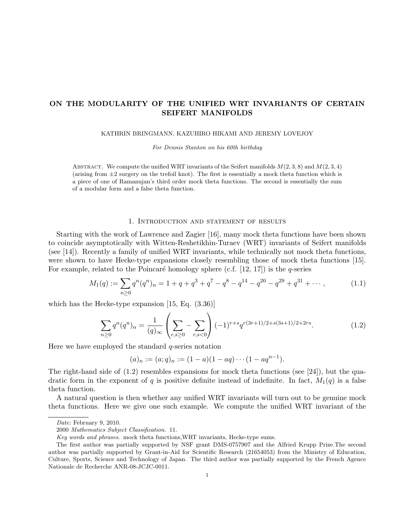# ON THE MODULARITY OF THE UNIFIED WRT INVARIANTS OF CERTAIN SEIFERT MANIFOLDS

KATHRIN BRINGMANN, KAZUHIRO HIKAMI AND JEREMY LOVEJOY

For Dennis Stanton on his 60th birthday

ABSTRACT. We compute the unified WRT invariants of the Seifert manifolds  $M(2, 3, 8)$  and  $M(2, 3, 4)$ (arising from  $\pm 2$  surgery on the trefoil knot). The first is essentially a mock theta function which is a piece of one of Ramanujan's third order mock theta functions. The second is essentially the sum of a modular form and a false theta function.

### 1. Introduction and statement of results

Starting with the work of Lawrence and Zagier [16], many mock theta functions have been shown to coincide asymptotically with Witten-Reshetikhin-Turaev (WRT) invariants of Seifert manifolds (see [14]). Recently a family of unified WRT invariants, while technically not mock theta functions, were shown to have Hecke-type expansions closely resembling those of mock theta functions [15]. For example, related to the Poincaré homology sphere (c.f.  $[12, 17]$ ) is the q-series

$$
M_1(q) := \sum_{n\geq 0} q^n (q^n)_n = 1 + q + q^3 + q^7 - q^8 - q^{14} - q^{20} - q^{29} + q^{31} + \cdots, \qquad (1.1)
$$

which has the Hecke-type expansion [15, Eq. (3.36)]

$$
\sum_{n\geq 0} q^n (q^n)_n = \frac{1}{(q)_{\infty}} \left( \sum_{r,s\geq 0} - \sum_{r,s<0} \right) (-1)^{r+s} q^{r(3r+1)/2+s(3s+1)/2+2rs}.
$$
 (1.2)

Here we have employed the standard  $q$ -series notation

$$
(a)_n := (a;q)_n := (1-a)(1-aq) \cdots (1-aq^{n-1}).
$$

The right-hand side of  $(1.2)$  resembles expansions for mock theta functions (see [24]), but the quadratic form in the exponent of q is positive definite instead of indefinite. In fact,  $M_1(q)$  is a false theta function.

A natural question is then whether any unified WRT invariants will turn out to be genuine mock theta functions. Here we give one such example. We compute the unified WRT invariant of the

Date: February 9, 2010.

<sup>2000</sup> Mathematics Subject Classification. 11.

Key words and phrases. mock theta functions,WRT invariants, Hecke-type sums.

The first author was partially supported by NSF grant DMS-0757907 and the Alfried Krupp Prize.The second author was partially supported by Grant-in-Aid for Scientific Research (21654053) from the Ministry of Education, Culture, Sports, Science and Technology of Japan. The third author was partially supported by the French Agence Nationale de Recherche ANR-08-JCJC-0011.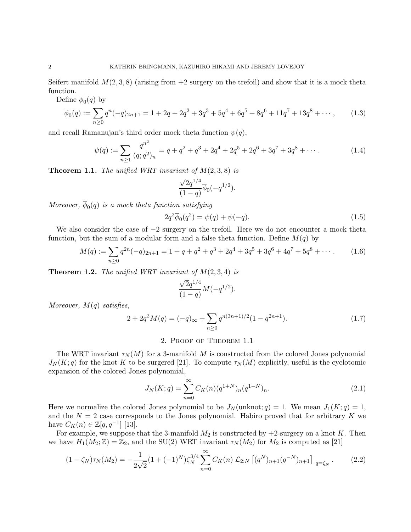Seifert manifold  $M(2,3,8)$  (arising from  $+2$  surgery on the trefoil) and show that it is a mock theta function.  $\overline{A}$  (a) b

Define 
$$
\overline{\phi}_0(q)
$$
 by  
\n
$$
\overline{\phi}_0(q) := \sum_{n\geq 0} q^n(-q)_{2n+1} = 1 + 2q + 2q^2 + 3q^3 + 5q^4 + 6q^5 + 8q^6 + 11q^7 + 13q^8 + \cdots,
$$
\n(1.3)

and recall Ramanujan's third order mock theta function  $\psi(q)$ ,

$$
\psi(q) := \sum_{n \ge 1} \frac{q^{n^2}}{(q;q^2)_n} = q + q^2 + q^3 + 2q^4 + 2q^5 + 2q^6 + 3q^7 + 3q^8 + \cdots
$$
 (1.4)

**Theorem 1.1.** The unified WRT invariant of  $M(2,3,8)$  is

$$
\frac{\sqrt{2}q^{1/4}}{(1-q)}\overline{\phi}_0(-q^{1/2}).
$$

Moreover,  $\phi_0(q)$  is a mock theta function satisfying

$$
2q^2\overline{\phi}_0(q^2) = \psi(q) + \psi(-q).
$$
 (1.5)

We also consider the case of  $-2$  surgery on the trefoil. Here we do not encounter a mock theta function, but the sum of a modular form and a false theta function. Define  $M(q)$  by

$$
M(q) := \sum_{n\geq 0} q^{2n}(-q)_{2n+1} = 1 + q + q^2 + q^3 + 2q^4 + 3q^5 + 3q^6 + 4q^7 + 5q^8 + \cdots
$$
 (1.6)

**Theorem 1.2.** The unified WRT invariant of  $M(2,3,4)$  is

$$
\frac{\sqrt{2}q^{1/4}}{(1-q)}M(-q^{1/2}).
$$

Moreover,  $M(q)$  satisfies,

$$
2 + 2q^2 M(q) = (-q)_{\infty} + \sum_{n \ge 0} q^{n(3n+1)/2} (1 - q^{2n+1}). \tag{1.7}
$$

## 2. Proof of Theorem 1.1

The WRT invariant  $\tau_N(M)$  for a 3-manifold M is constructed from the colored Jones polynomial  $J_N(K; q)$  for the knot K to be surgered [21]. To compute  $\tau_N(M)$  explicitly, useful is the cyclotomic expansion of the colored Jones polynomial,

$$
J_N(K;q) = \sum_{n=0}^{\infty} C_K(n) (q^{1+N})_n (q^{1-N})_n.
$$
\n(2.1)

Here we normalize the colored Jones polynomial to be  $J_N(\text{unknot}; q) = 1$ . We mean  $J_1(K; q) = 1$ , and the  $N = 2$  case corresponds to the Jones polynomial. Habiro proved that for arbitrary K we have  $C_K(n) \in \mathbb{Z}[q, q^{-1}]$  [13].

For example, we suppose that the 3-manifold  $M_2$  is constructed by  $+2$ -surgery on a knot K. Then we have  $H_1(M_2; \mathbb{Z}) = \mathbb{Z}_2$ , and the SU(2) WRT invariant  $\tau_N(M_2)$  for  $M_2$  is computed as [21]

$$
(1 - \zeta_N)\tau_N(M_2) = -\frac{1}{2\sqrt{2}} (1 + (-1)^N) \zeta_N^{3/4} \sum_{n=0}^{\infty} C_K(n) \mathcal{L}_{2:N} \left[ (q^N)_{n+1} (q^{-N})_{n+1} \right] \Big|_{q = \zeta_N}.
$$
 (2.2)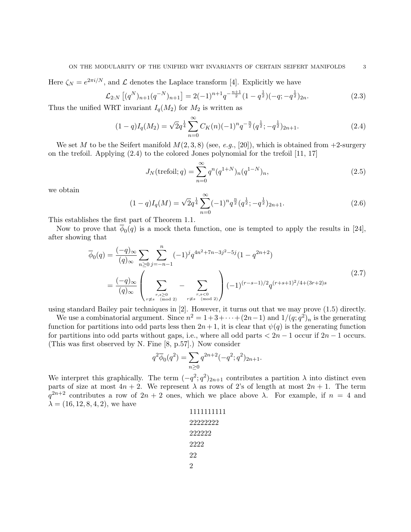Here  $\zeta_N = e^{2\pi i/N}$ , and  $\mathcal L$  denotes the Laplace transform [4]. Explicitly we have

$$
\mathcal{L}_{2:N} \left[ (q^N)_{n+1} (q^{-N})_{n+1} \right] = 2(-1)^{n+1} q^{-\frac{n+1}{2}} (1 - q^{\frac{1}{2}})(-q; -q^{\frac{1}{2}})_{2n}.
$$
\n(2.3)

Thus the unified WRT invariant  $I_q(M_2)$  for  $M_2$  is written as

$$
(1-q)I_q(M_2) = \sqrt{2}q^{\frac{1}{4}} \sum_{n=0}^{\infty} C_K(n)(-1)^n q^{-\frac{n}{2}} (q^{\frac{1}{2}}; -q^{\frac{1}{2}})_{2n+1}.
$$
\n(2.4)

We set M to be the Seifert manifold  $M(2,3,8)$  (see, e.g., [20]), which is obtained from  $+2$ -surgery on the trefoil. Applying (2.4) to the colored Jones polynomial for the trefoil [11, 17]

$$
J_N(\text{trefoil}; q) = \sum_{n=0}^{\infty} q^n (q^{1+N})_n (q^{1-N})_n,
$$
\n(2.5)

we obtain

$$
(1-q)I_q(M) = \sqrt{2}q^{\frac{1}{4}} \sum_{n=0}^{\infty} (-1)^n q^{\frac{n}{2}} (q^{\frac{1}{2}}; -q^{\frac{1}{2}})_{2n+1}.
$$
\n(2.6)

This establishes the first part of Theorem 1.1.

Now to prove that  $\phi_0(q)$  is a mock theta function, one is tempted to apply the results in [24], after showing that

$$
\overline{\phi}_0(q) = \frac{(-q)_{\infty}}{(q)_{\infty}} \sum_{n \ge 0} \sum_{j=-n-1}^n (-1)^j q^{4n^2 + 7n - 3j^2 - 5j} (1 - q^{2n+2})
$$
\n
$$
= \frac{(-q)_{\infty}}{(q)_{\infty}} \left( \sum_{\substack{r,s \ge 0 \\ r \ne s \pmod{2}}} - \sum_{\substack{r,s < 0 \\ r \ne s \pmod{2}}} \right) (-1)^{(r-s-1)/2} q^{(r+s+1)^2/4 + (3r+2)s} \tag{2.7}
$$

using standard Bailey pair techniques in [2]. However, it turns out that we may prove (1.5) directly.

We use a combinatorial argument. Since  $n^2 = 1 + 3 + \cdots + (2n-1)$  and  $1/(q;q^2)<sub>n</sub>$  is the generating function for partitions into odd parts less then  $2n+1$ , it is clear that  $\psi(q)$  is the generating function for partitions into odd parts without gaps, i.e., where all odd parts  $\lt 2n-1$  occur if  $2n-1$  occurs. (This was first observed by N. Fine [8, p.57].) Now consider

$$
q^2\overline{\phi}_0(q^2)=\sum_{n\geq 0}q^{2n+2}(-q^2;q^2)_{2n+1}.
$$

We interpret this graphically. The term  $(-q^2; q^2)_{2n+1}$  contributes a partition  $\lambda$  into distinct even parts of size at most  $4n + 2$ . We represent  $\lambda$  as rows of 2's of length at most  $2n + 1$ . The term  $q^{2n+2}$  contributes a row of  $2n+2$  ones, which we place above  $\lambda$ . For example, if  $n = 4$  and  $\lambda = (16, 12, 8, 4, 2)$ , we have

| 1111111111 |
|------------|
| 22222222   |
| 222222     |
| 2222       |
| 22         |
| 2          |
|            |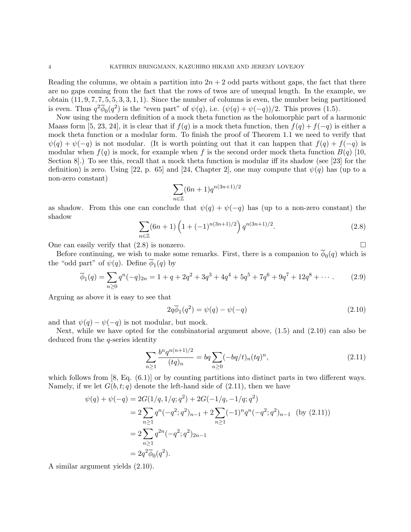Reading the columns, we obtain a partition into  $2n + 2$  odd parts without gaps, the fact that there are no gaps coming from the fact that the rows of twos are of unequal length. In the example, we obtain  $(11, 9, 7, 7, 5, 5, 3, 3, 1, 1)$ . Since the number of columns is even, the number being partitioned is even. Thus  $q^2\overline{\phi}_0(q^2)$  is the "even part" of  $\psi(q)$ , i.e.  $(\psi(q) + \psi(-q))/2$ . This proves (1.5).

Now using the modern definition of a mock theta function as the holomorphic part of a harmonic Maass form [5, 23, 24], it is clear that if  $f(q)$  is a mock theta function, then  $f(q) + f(-q)$  is either a mock theta function or a modular form. To finish the proof of Theorem 1.1 we need to verify that  $\psi(q) + \psi(-q)$  is not modular. (It is worth pointing out that it can happen that  $f(q) + f(-q)$  is modular when  $f(q)$  is mock, for example when f is the second order mock theta function  $B(q)$  [10, Section 8].) To see this, recall that a mock theta function is modular iff its shadow (see [23] for the definition) is zero. Using [22, p. 65] and [24, Chapter 2], one may compute that  $\psi(q)$  has (up to a non-zero constant)

$$
\sum_{n\in\mathbb{Z}} (6n+1)q^{n(3n+1)/2}
$$

as shadow. From this one can conclude that  $\psi(q) + \psi(-q)$  has (up to a non-zero constant) the shadow

$$
\sum_{n\in\mathbb{Z}} (6n+1) \left( 1+(-1)^{n(3n+1)/2} \right) q^{n(3n+1)/2}.
$$
 (2.8)

One can easily verify that  $(2.8)$  is nonzero.

Before continuing, we wish to make some remarks. First, there is a companion to  $\phi_0(q)$  which is the "odd part" of  $\psi(q)$ . Define  $\phi_1(q)$  by

$$
\overline{\phi}_1(q) = \sum_{n\geq 0} q^n(-q)_{2n} = 1 + q + 2q^2 + 3q^3 + 4q^4 + 5q^5 + 7q^6 + 9q^7 + 12q^8 + \cdots
$$
 (2.9)

Arguing as above it is easy to see that

$$
2q\overline{\phi}_1(q^2) = \psi(q) - \psi(-q)
$$
 (2.10)

and that  $\psi(q) - \psi(-q)$  is not modular, but mock.

Next, while we have opted for the combinatorial argument above,  $(1.5)$  and  $(2.10)$  can also be deduced from the q-series identity

$$
\sum_{n\geq 1} \frac{b^n q^{n(n+1)/2}}{(tq)_n} = bq \sum_{n\geq 0} (-bq/t)_n (tq)^n,
$$
\n(2.11)

which follows from  $[8, Eq. (6.1)]$  or by counting partitions into distinct parts in two different ways. Namely, if we let  $G(b, t; q)$  denote the left-hand side of  $(2.11)$ , then we have

$$
\psi(q) + \psi(-q) = 2G(1/q, 1/q; q^2) + 2G(-1/q, -1/q; q^2)
$$
  
= 
$$
2 \sum_{n \ge 1} q^n (-q^2; q^2)_{n-1} + 2 \sum_{n \ge 1} (-1)^n q^n (-q^2; q^2)_{n-1}
$$
 (by (2.11))  
= 
$$
2 \sum_{n \ge 1} q^{2n} (-q^2; q^2)_{2n-1}
$$
  
= 
$$
2q^2 \overline{\phi}_0(q^2).
$$

A similar argument yields (2.10).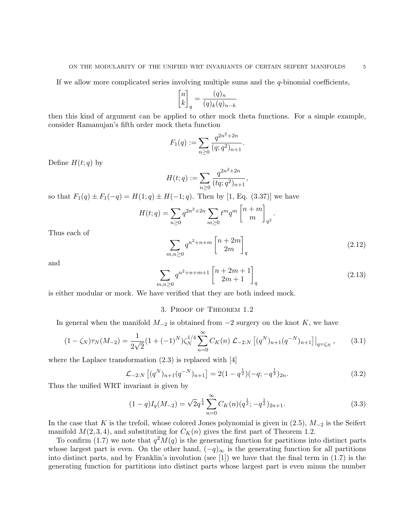If we allow more complicated series involving multiple sums and the  $q$ -binomial coefficients,

$$
\begin{bmatrix} n \\ k \end{bmatrix}_q = \frac{(q)_n}{(q)_k (q)_{n-k}}
$$

then this kind of argument can be applied to other mock theta functions. For a simple example, consider Ramanujan's fifth order mock theta function

$$
F_1(q) := \sum_{n \ge 0} \frac{q^{2n^2 + 2n}}{(q;q^2)_{n+1}}.
$$

Define  $H(t; q)$  by

$$
H(t;q) := \sum_{n\geq 0} \frac{q^{2n^2+2n}}{(tq;q^2)_{n+1}}
$$

so that  $F_1(q) \pm F_1(-q) = H(1; q) \pm H(-1; q)$ . Then by [1, Eq. (3.37)] we have

$$
H(t;q) = \sum_{n\geq 0} q^{2n^2+2n} \sum_{m\geq 0} t^m q^m \begin{bmatrix} n+m \\ m \end{bmatrix}_{q^2}.
$$

Thus each of

$$
\sum_{m,n\geq 0} q^{n^2+n+m} \begin{bmatrix} n+2m\\2m \end{bmatrix}_q
$$
\n(2.12)

,

and

$$
\sum_{m,n\geq 0} q^{n^2+n+m+1} \begin{bmatrix} n+2m+1\\2m+1 \end{bmatrix}_q
$$
\n(2.13)

is either modular or mock. We have verified that they are both indeed mock.

## 3. Proof of Theorem 1.2

In general when the manifold  $M_{-2}$  is obtained from  $-2$  surgery on the knot K, we have

$$
(1 - \zeta_N)\tau_N(M_{-2}) = \frac{1}{2\sqrt{2}} (1 + (-1)^N) \zeta_N^{1/4} \sum_{n=0}^{\infty} C_K(n) \mathcal{L}_{-2:N} \left[ (q^N)_{n+1} (q^{-N})_{n+1} \right] \Big|_{q = \zeta_N}, \tag{3.1}
$$

where the Laplace transformation (2.3) is replaced with [4]

$$
\mathcal{L}_{-2:N} \left[ (q^N)_{n+1} (q^{-N})_{n+1} \right] = 2(1 - q^{\frac{1}{2}})(-q; -q^{\frac{1}{2}})_{2n}.
$$
\n(3.2)

Thus the unified WRT invariant is given by

$$
(1-q)I_q(M_{-2}) = \sqrt{2}q^{\frac{1}{4}} \sum_{n=0}^{\infty} C_K(n)(q^{\frac{1}{2}}; -q^{\frac{1}{2}})_{2n+1}.
$$
\n(3.3)

In the case that K is the trefoil, whose colored Jones polynomial is given in  $(2.5)$ ,  $M_{-2}$  is the Seifert manifold  $M(2, 3, 4)$ , and substituting for  $C_K(n)$  gives the first part of Theorem 1.2.

To confirm (1.7) we note that  $q^2M(q)$  is the generating function for partitions into distinct parts whose largest part is even. On the other hand,  $(-q)_{\infty}$  is the generating function for all partitions into distinct parts, and by Franklin's involution (see [1]) we have that the final term in (1.7) is the generating function for partitions into distinct parts whose largest part is even minus the number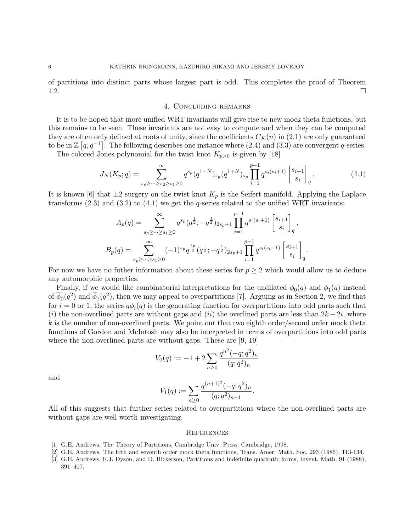of partitions into distinct parts whose largest part is odd. This completes the proof of Theorem 1.2.

# 4. Concluding remarks

It is to be hoped that more unified WRT invariants will give rise to new mock theta functions, but this remains to be seen. These invariants are not easy to compute and when they can be computed they are often only defined at roots of unity, since the coefficients  $C_K(n)$  in (2.1) are only guaranteed to be in  $\mathbb{Z} [q, q^{-1}]$ . The following describes one instance where (2.4) and (3.3) are convergent q-series.

The colored Jones polynomial for the twist knot  $K_{p>0}$  is given by [18]

$$
J_N(K_p;q) = \sum_{s_p \ge \dots \ge s_2 \ge s_1 \ge 0}^{\infty} q^{s_p} (q^{1-N})_{s_p} (q^{1+N})_{s_p} \prod_{i=1}^{p-1} q^{s_i(s_i+1)} \begin{bmatrix} s_{i+1} \\ s_i \end{bmatrix}_q.
$$
 (4.1)

It is known [6] that  $\pm 2$  surgery on the twist knot  $K_p$  is the Seifert manifold. Applying the Laplace transforms (2.3) and (3.2) to (4.1) we get the q-series related to the unified WRT invariants;

$$
A_p(q) = \sum_{s_p \ge \dots \ge s_1 \ge 0}^{\infty} q^{s_p}(q^{\frac{1}{2}}; -q^{\frac{1}{2}})_{2s_p+1} \prod_{i=1}^{p-1} q^{s_i(s_i+1)} \begin{bmatrix} s_{i+1} \\ s_i \end{bmatrix}_q,
$$
  
\n
$$
B_p(q) = \sum_{s_p \ge \dots \ge s_1 \ge 0}^{\infty} (-1)^{s_p} q^{\frac{s_p}{2}} (q^{\frac{1}{2}}; -q^{\frac{1}{2}})_{2s_p+1} \prod_{i=1}^{p-1} q^{s_i(s_i+1)} \begin{bmatrix} s_{i+1} \\ s_i \end{bmatrix}_q.
$$

For now we have no futher information about these series for  $p \geq 2$  which would allow us to deduce any automorphic properties.

Finally, if we would like combinatorial interpretations for the undilated  $\phi_0(q)$  and  $\phi_1(q)$  instead of  $\overline{\phi}_0(q^2)$  and  $\overline{\phi}_1(q^2)$ , then we may appeal to overpartitions [7]. Arguing as in Section 2, we find that for  $i = 0$  or 1, the series  $q\phi_i(q)$  is the generating function for overpartitions into odd parts such that (i) the non-overlined parts are without gaps and (ii) the overlined parts are less than  $2k - 2i$ , where  $k$  is the number of non-overlined parts. We point out that two eighth order/second order mock theta functions of Gordon and McIntosh may also be interpreted in terms of overpartitions into odd parts where the non-overlined parts are without gaps. These are [9, 19]

$$
V_0(q) := -1 + 2 \sum_{n \ge 0} \frac{q^{n^2} (-q;q^2)_n}{(q;q^2)_n}
$$

and

$$
V_1(q) := \sum_{n\geq 0} \frac{q^{(n+1)^2}(-q;q^2)_n}{(q;q^2)_{n+1}}.
$$

All of this suggests that further series related to overpartitions where the non-overlined parts are without gaps are well worth investigating.

#### **REFERENCES**

- [1] G.E. Andrews, The Theory of Partitions, Cambridge Univ. Press, Cambridge, 1998.
- [2] G.E. Andrews, The fifth and seventh order mock theta functions, Trans. Amer. Math. Soc. 293 (1986), 113-134.
- [3] G.E. Andrews, F.J. Dyson, and D. Hickerson, Partitions and indefinite quadratic forms, Invent. Math. 91 (1988), 391–407.